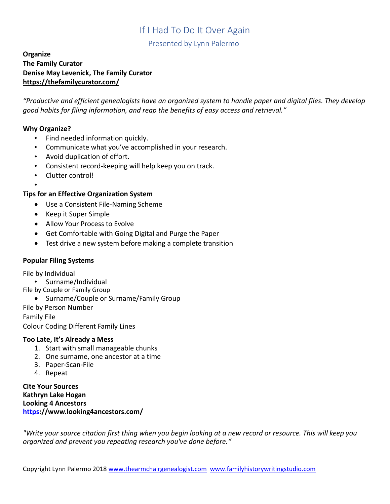Presented by Lynn Palermo

## **Organize The Family Curator Denise May Levenick, The Family Curator <https://thefamilycurator.com/>**

*"Productive and efficient genealogists have an organized system to handle paper and digital files. They develop good habits for filing information, and reap the benefits of easy access and retrieval."* 

#### **Why Organize?**

- Find needed information quickly.
- Communicate what you've accomplished in your research.
- Avoid duplication of effort.
- Consistent record-keeping will help keep you on track.
- Clutter control!

#### • **Tips for an Effective Organization System**

- Use a Consistent File-Naming Scheme
- Keep it Super Simple
- Allow Your Process to Evolve
- Get Comfortable with Going Digital and Purge the Paper
- Test drive a new system before making a complete transition

#### **Popular Filing Systems**

File by Individual

- Surname/Individual
- File by Couple or Family Group
	- Surname/Couple or Surname/Family Group

File by Person Number

Family File

Colour Coding Different Family Lines

#### **Too Late, It's Already a Mess**

- 1. Start with small manageable chunks
- 2. One surname, one ancestor at a time
- 3. Paper-Scan-File
- 4. Repeat

**Cite Your Sources Kathryn Lake Hogan Looking 4 Ancestors <https>[://www.looking4ancestors.com/](https://www.looking4ancestors.com/)**

*"Write your source citation first thing when you begin looking at a new record or resource. This will keep you organized and prevent you repeating research you've done before."*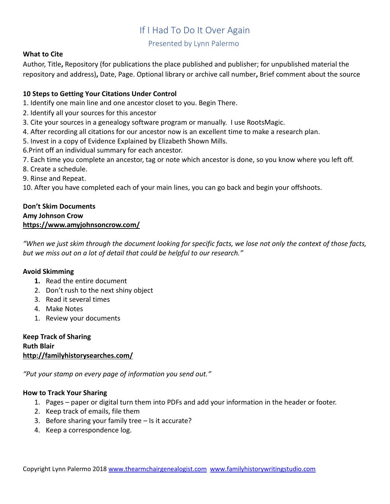## Presented by Lynn Palermo

#### **What to Cite**

Author, Title**,** Repository (for publications the place published and publisher; for unpublished material the repository and address)**,** Date, Page. Optional library or archive call number**,** Brief comment about the source

## **10 Steps to Getting Your Citations Under Control**

- 1. Identify one main line and one ancestor closet to you. Begin There.
- 2. Identify all your sources for this ancestor
- 3. Cite your sources in a genealogy software program or manually. I use RootsMagic.
- 4. After recording all citations for our ancestor now is an excellent time to make a research plan.
- 5. Invest in a copy of Evidence Explained by Elizabeth Shown Mills.
- 6.Print off an individual summary for each ancestor.
- 7. Each time you complete an ancestor, tag or note which ancestor is done, so you know where you left off.
- 8. Create a schedule.
- 9. Rinse and Repeat.

10. After you have completed each of your main lines, you can go back and begin your offshoots.

#### **Don't Skim Documents Amy Johnson Crow <https://www.amyjohnsoncrow.com/>**

*"When we just skim through the document looking for specific facts, we lose not only the context of those facts, but we miss out on a lot of detail that could be helpful to our research."*

## **Avoid Skimming**

- **1.** Read the entire document
- 2. Don't rush to the next shiny object
- 3. Read it several times
- 4. Make Notes
- 1. Review your documents

**Keep Track of Sharing Ruth Blair <http://familyhistorysearches.com/>**

*"Put your stamp on every page of information you send out."* 

## **How to Track Your Sharing**

- 1. Pages paper or digital turn them into PDFs and add your information in the header or footer.
- 2. Keep track of emails, file them
- 3. Before sharing your family tree Is it accurate?
- 4. Keep a correspondence log.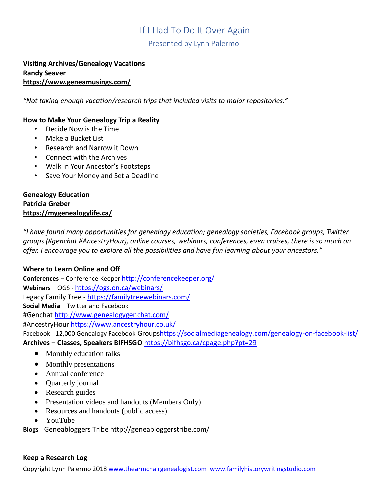Presented by Lynn Palermo

#### **Visiting Archives/Genealogy Vacations Randy Seaver <https://www.geneamusings.com/>**

*"Not taking enough vacation/research trips that included visits to major repositories."*

#### **How to Make Your Genealogy Trip a Reality**

- Decide Now is the Time
- Make a Bucket List
- Research and Narrow it Down
- Connect with the Archives
- Walk in Your Ancestor's Footsteps
- Save Your Money and Set a Deadline

#### **Genealogy Education Patricia Greber <https://mygenealogylife.ca/>**

*"I have found many opportunities for genealogy education; genealogy societies, Facebook groups, Twitter groups (#genchat #AncestryHour), online courses, webinars, conferences, even cruises, there is so much on offer. I encourage you to explore all the possibilities and have fun learning about your ancestors."*

## **Where to Learn Online and Off**

**Conferences** – Conference Keeper <http://conferencekeeper.org/> **Webinars** – OGS - <https://ogs.on.ca/webinars/> Legacy Family Tree - <https://familytreewebinars.com/> **Social Media** – Twitter and Facebook #Genchat<http://www.genealogygenchat.com/> #AncestryHour<https://www.ancestryhour.co.uk/> Facebook - 12,000 Genealogy Facebook Group[shttps://socialmediagenealogy.com/genealogy-on-facebook-list/](https://socialmediagenealogy.com/genealogy-on-facebook-list/) **Archives – Classes, Speakers BIFHSGO** <https://bifhsgo.ca/cpage.php?pt=29>

- [Monthly education talks](https://bifhsgo.ca/cpage.php?pt=29#Monthly%20education%20talks)
- [Monthly presentations](https://bifhsgo.ca/cpage.php?pt=29#Monthly%20presentations)
- [Annual conference](https://bifhsgo.ca/cpage.php?pt=29#Annual%20conference)
- [Quarterly journal](https://bifhsgo.ca/cpage.php?pt=29#Quarterly%20journal)
- [Research guides](https://bifhsgo.ca/cpage.php?pt=29#Research%20guides)
- [Presentation videos and handouts](https://bifhsgo.ca/cpage.php?pt=29#Presentation%20videos%20and%20handouts) (Members Only)
- [Resources and handouts](https://bifhsgo.ca/cpage.php?pt=29#Past%20Education) (public access)
- [YouTube](https://bifhsgo.ca/cpage.php?pt=29#YouTube)

**Blogs** - Geneabloggers Tribe http://geneabloggerstribe.com/

#### **Keep a Research Log**

Copyright Lynn Palermo 2018 [www.thearmchairgenealogist.com](http://www.thearmchairgenealogist.com/) [www.familyhistorywritingstudio.com](http://www.familyhistorywritingstudio.com/)